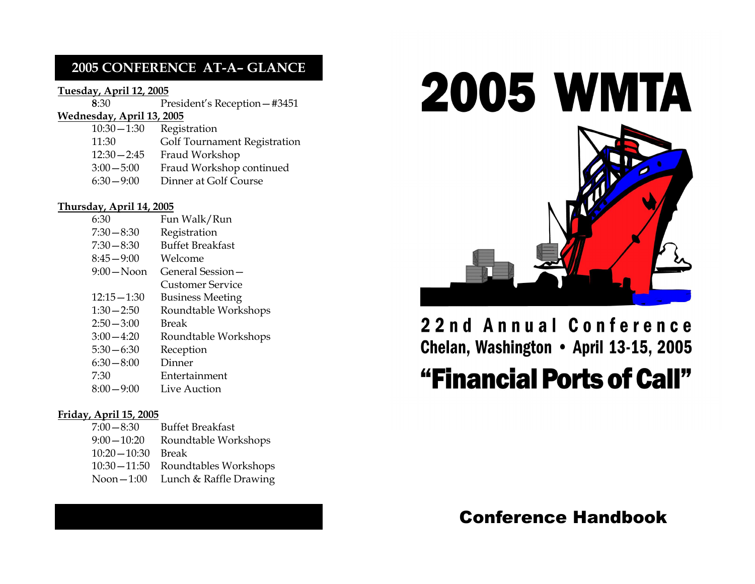### 2005 CONFERENCE AT-A– GLANCE

#### Tuesday, April 12, 2005

| 8:30                      | President's Reception - #3451 |  |
|---------------------------|-------------------------------|--|
| Wednesday, April 13, 2005 |                               |  |
| $10:30 - 1:30$            | Registration                  |  |
| 11:30                     | Golf Tournament Registration  |  |
| $12:30 - 2:45$            | Fraud Workshop                |  |
| $3:00 - 5:00$             | Fraud Workshop continued      |  |
| $6:30 - 9:00$             | Dinner at Golf Course         |  |

#### Thursday, April 14, 2005

| 6:30           | Fun Walk/Run            |
|----------------|-------------------------|
| $7:30 - 8:30$  | Registration            |
| $7:30 - 8:30$  | <b>Buffet Breakfast</b> |
| $8:45 - 9:00$  | Welcome                 |
| $9:00 - N$ oon | General Session –       |
|                | <b>Customer Service</b> |
| $12:15 - 1:30$ | Business Meeting        |
| $1:30 - 2:50$  | Roundtable Workshops    |
| $2:50 - 3:00$  | Break                   |
| $3:00 - 4:20$  | Roundtable Workshops    |
| $5:30 - 6:30$  | Reception               |
| $6:30 - 8:00$  | Dinner                  |
| 7:30           | Entertainment           |
| $8:00 - 9:00$  | Live Auction            |

#### Friday, April 15, 2005

| $7:00 - 8:30$   | <b>Buffet Breakfast</b> |
|-----------------|-------------------------|
| $9:00 - 10:20$  | Roundtable Workshops    |
| $10:20 - 10:30$ | <b>Break</b>            |
| $10:30 - 11:50$ | Roundtables Workshops   |
| $N$ oon $-1:00$ | Lunch & Raffle Drawing  |
|                 |                         |



# 22nd Annual Conference Chelan, Washington . April 13-15, 2005 "Financial Ports of Call"

# Conference Handbook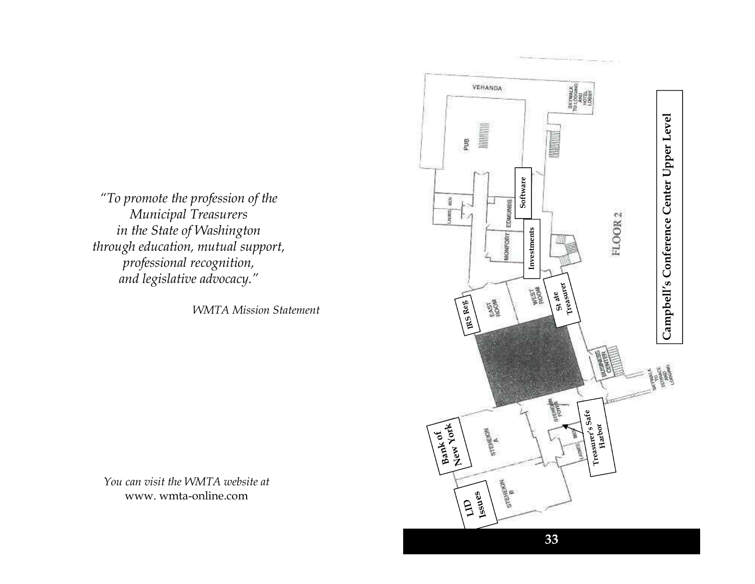"To promote the profession of the Municipal Treasurers in the State of Washington through education, mutual support, professional recognition, and legislative advocacy."

WMTA Mission Statement

You can visit the WMTA website at www. wmta-online.com

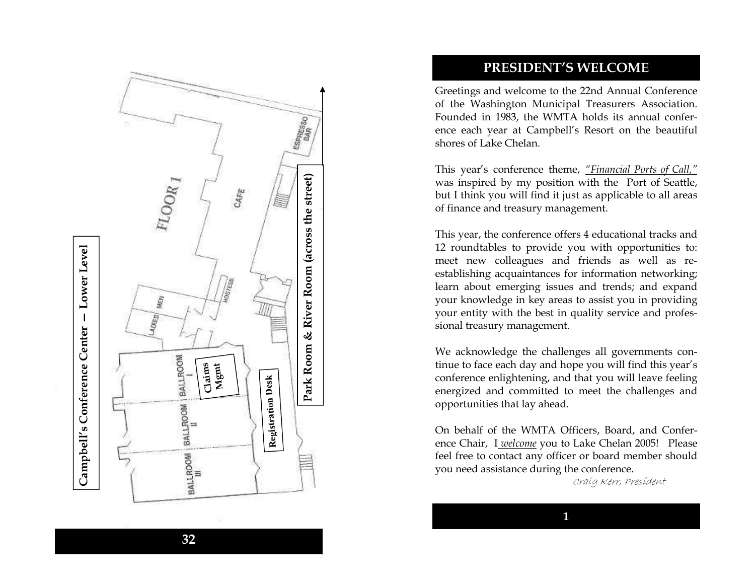

### PRESIDENT'S WELCOME

Greetings and welcome to the 22nd Annual Conference of the Washington Municipal Treasurers Association. Founded in 1983, the WMTA holds its annual conference each year at Campbell's Resort on the beautiful shores of Lake Chelan.

This year's conference theme, "Financial Ports of Call," was inspired by my position with the Port of Seattle, but I think you will find it just as applicable to all areas of finance and treasury management.

This year, the conference offers 4 educational tracks and 12 roundtables to provide you with opportunities to: meet new colleagues and friends as well as reestablishing acquaintances for information networking; learn about emerging issues and trends; and expand your knowledge in key areas to assist you in providing your entity with the best in quality service and professional treasury management.

We acknowledge the challenges all governments continue to face each day and hope you will find this year's conference enlightening, and that you will leave feeling energized and committed to meet the challenges and opportunities that lay ahead.

On behalf of the WMTA Officers, Board, and Conference Chair, I<u>welcome</u> you to Lake Chelan 2005! Please feel free to contact any officer or board member should you need assistance during the conference.

Craig Kerr, President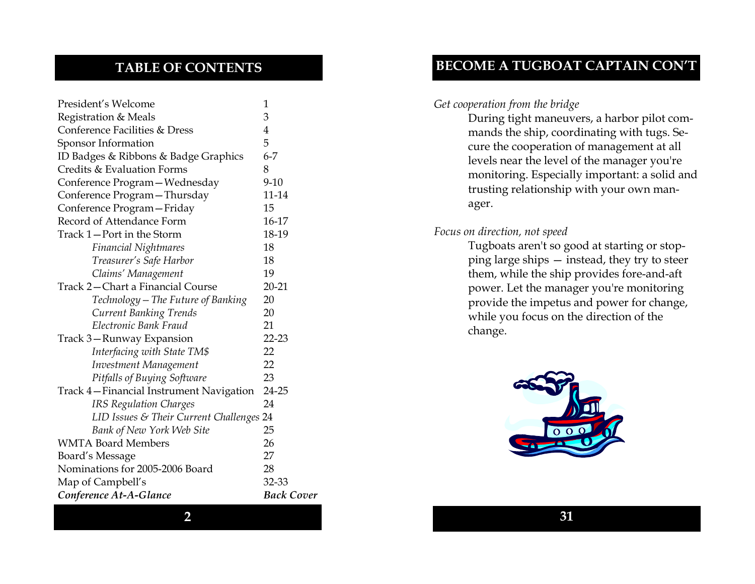## TABLE OF CONTENTS

| President's Welcome                      | 1                 |  |
|------------------------------------------|-------------------|--|
| Registration & Meals                     | 3                 |  |
| Conference Facilities & Dress            | 4                 |  |
| Sponsor Information                      | 5                 |  |
| ID Badges & Ribbons & Badge Graphics     | $6 - 7$           |  |
| Credits & Evaluation Forms               | 8                 |  |
| Conference Program – Wednesday           | $9 - 10$          |  |
| Conference Program - Thursday            | 11-14             |  |
| Conference Program - Friday              | 15                |  |
| Record of Attendance Form                | 16-17             |  |
| Track 1—Port in the Storm                | 18-19             |  |
| <b>Financial Nightmares</b>              | 18                |  |
| Treasurer's Safe Harbor                  | 18                |  |
| Claims' Management                       | 19                |  |
| Track 2-Chart a Financial Course         | 20-21             |  |
| Technology – The Future of Banking       | 20                |  |
| <b>Current Banking Trends</b>            | 20                |  |
| Electronic Bank Fraud                    | 21                |  |
| Track 3—Runway Expansion                 | 22-23             |  |
| Interfacing with State TM\$              | 22                |  |
| Investment Management                    | 22                |  |
| Pitfalls of Buying Software              | 23                |  |
| Track 4—Financial Instrument Navigation  | 24-25             |  |
| <b>IRS Regulation Charges</b>            | 24                |  |
| LID Issues & Their Current Challenges 24 |                   |  |
| Bank of New York Web Site                | 25                |  |
| <b>WMTA Board Members</b>                | 26                |  |
| Board's Message                          | 27                |  |
| Nominations for 2005-2006 Board          | 28                |  |
| Map of Campbell's                        | 32-33             |  |
| Conference At-A-Glance                   | <b>Back Cover</b> |  |

### BECOME A TUGBOAT CAPTAIN CON'T

#### Get cooperation from the bridge

During tight maneuvers, a harbor pilot commands the ship, coordinating with tugs. Secure the cooperation of management at all levels near the level of the manager you're monitoring. Especially important: a solid and trusting relationship with your own manager.

#### Focus on direction, not speed

Tugboats aren't so good at starting or stopping large ships — instead, they try to steer them, while the ship provides fore-and-aft power. Let the manager you're monitoring provide the impetus and power for change, while you focus on the direction of the change.



2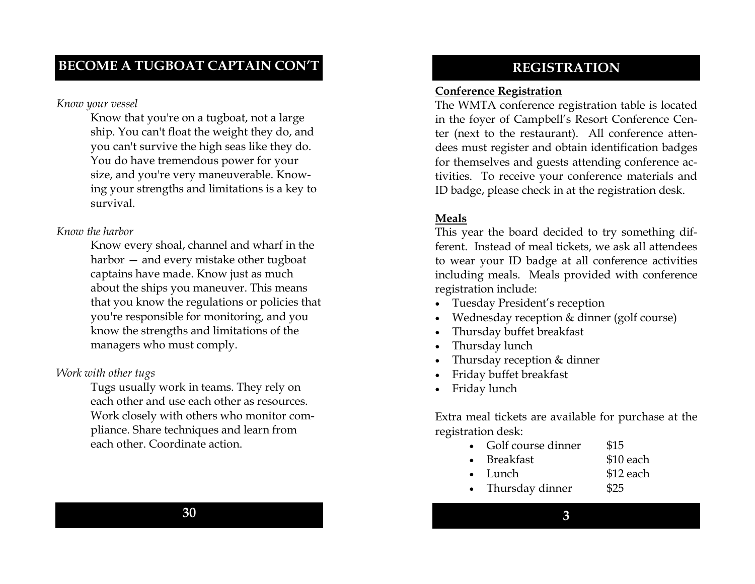#### Know your vessel

Know that you're on a tugboat, not a large ship. You can't float the weight they do, and you can't survive the high seas like they do. You do have tremendous power for your size, and you're very maneuverable. Knowing your strengths and limitations is a key to survival.

### Know the harbor

Know every shoal, channel and wharf in the harbor — and every mistake other tugboat captains have made. Know just as much about the ships you maneuver. This means that you know the regulations or policies that you're responsible for monitoring, and you know the strengths and limitations of the managers who must comply.

### Work with other tugs

Tugs usually work in teams. They rely on each other and use each other as resources. Work closely with others who monitor compliance. Share techniques and learn from each other. Coordinate action.

### REGISTRATION

### Conference Registration

 The WMTA conference registration table is located in the foyer of Campbell's Resort Conference Center (next to the restaurant). All conference atten dees must register and obtain identification badges for themselves and guests attending conference activities. To receive your conference materials andID badge, please check in at the registration desk.

### Meals

 This year the board decided to try something different. Instead of meal tickets, we ask all attendees to wear your ID badge at all conference activities including meals. Meals provided with conference registration include:

- Tuesday President's reception
- Wednesday reception & dinner (golf course)
- Thursday buffet breakfast
- Thursday lunch
- Thursday reception & dinner
- Friday buffet breakfast
- Friday lunch

Extra meal tickets are available for purchase at the registration desk:

- Golf course dinner \$15
- **Breakfast** \$10 each
- Lunch \$12 each
- Thursday dinner \$25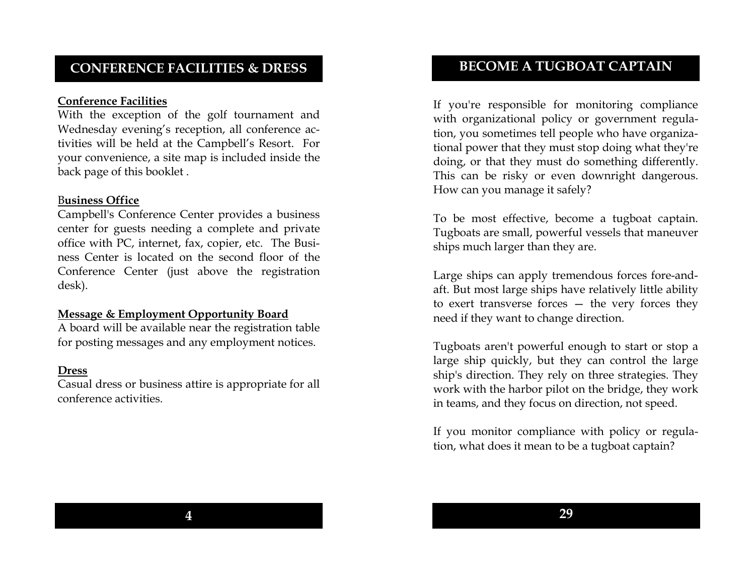### CONFERENCE FACILITIES & DRESS

#### Conference Facilities

 With the exception of the golf tournament and Wednesday evening's reception, all conference activities will be held at the Campbell's Resort. For your convenience, a site map is included inside theback page of this booklet .

#### Business Office

 Campbell's Conference Center provides a business center for guests needing a complete and private office with PC, internet, fax, copier, etc. The Business Center is located on the second floor of the Conference Center (just above the registration desk).

#### Message & Employment Opportunity Board

 A board will be available near the registration table for posting messages and any employment notices.

#### Dress

 Casual dress or business attire is appropriate for all conference activities.

### BECOME A TUGBOAT CAPTAIN

If you're responsible for monitoring compliance with organizational policy or government regulation, you sometimes tell people who have organizational power that they must stop doing what they're doing, or that they must do something differently. This can be risky or even downright dangerous. How can you manage it safely?

To be most effective, become a tugboat captain. Tugboats are small, powerful vessels that maneuver ships much larger than they are.

Large ships can apply tremendous forces fore-andaft. But most large ships have relatively little ability to exert transverse forces — the very forces they need if they want to change direction.

Tugboats aren't powerful enough to start or stop a large ship quickly, but they can control the large ship's direction. They rely on three strategies. They work with the harbor pilot on the bridge, they workin teams, and they focus on direction, not speed.

If you monitor compliance with policy or regulation, what does it mean to be a tugboat captain?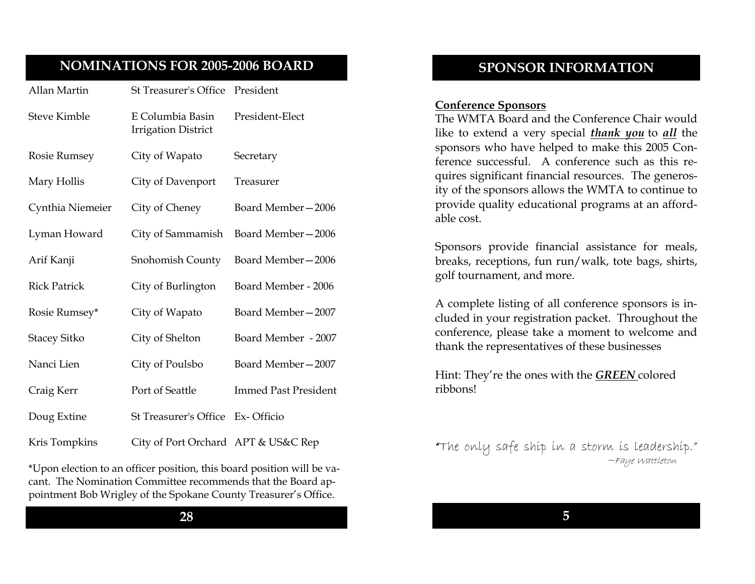### NOMINATIONS FOR 2005-2006 BOARD

| Allan Martin        | St Treasurer's Office President                |                             |
|---------------------|------------------------------------------------|-----------------------------|
| <b>Steve Kimble</b> | E Columbia Basin<br><b>Irrigation District</b> | President-Elect             |
| <b>Rosie Rumsey</b> | City of Wapato                                 | Secretary                   |
| Mary Hollis         | City of Davenport                              | Treasurer                   |
| Cynthia Niemeier    | City of Cheney                                 | Board Member-2006           |
| Lyman Howard        | City of Sammamish                              | Board Member-2006           |
| Arif Kanji          | Snohomish County                               | Board Member-2006           |
| <b>Rick Patrick</b> | City of Burlington                             | Board Member - 2006         |
| Rosie Rumsey*       | City of Wapato                                 | Board Member-2007           |
| <b>Stacey Sitko</b> | City of Shelton                                | Board Member - 2007         |
| Nanci Lien          | City of Poulsbo                                | Board Member-2007           |
| Craig Kerr          | Port of Seattle                                | <b>Immed Past President</b> |
| Doug Extine         | St Treasurer's Office Ex-Officio               |                             |
| Kris Tompkins       | City of Port Orchard APT & US&C Rep            |                             |

\*Upon election to an officer position, this board position will be vacant. The Nomination Committee recommends that the Board appointment Bob Wrigley of the Spokane County Treasurer's Office.

#### 28

### SPONSOR INFORMATION

#### Conference Sponsors

 The WMTA Board and the Conference Chair would like to extend a very special **thank you** to all the sponsors who have helped to make this 2005 Conference successful. A conference such as this requires significant financial resources. The generosity of the sponsors allows the WMTA to continue to provide quality educational programs at an affordable cost.

Sponsors provide financial assistance for meals, breaks, receptions, fun run/walk, tote bags, shirts, golf tournament, and more.

A complete listing of all conference sponsors is in cluded in your registration packet. Throughout the conference, please take a moment to welcome and thank the representatives of these businesses

Hint: They're the ones with the GREEN colored ribbons!

"The only safe ship in a storm is leadership." " ~Faye Wattleton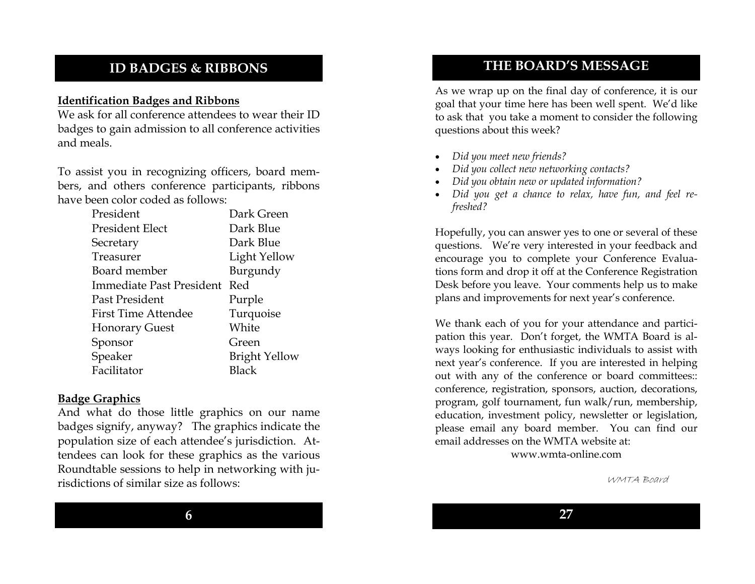### ID BADGES & RIBBONS

### Identification Badges and Ribbons

 We ask for all conference attendees to wear their ID badges to gain admission to all conference activities and meals.

To assist you in recognizing officers, board members, and others conference participants, ribbons have been color coded as follows:

| President                       | Dark Green           |
|---------------------------------|----------------------|
| President Elect                 | Dark Blue            |
| Secretary                       | Dark Blue            |
| Treasurer                       | Light Yellow         |
| Board member                    | Burgundy             |
| <b>Immediate Past President</b> | Red                  |
| Past President                  | Purple               |
| <b>First Time Attendee</b>      | Turquoise            |
| <b>Honorary Guest</b>           | White                |
| Sponsor                         | Green                |
| Speaker                         | <b>Bright Yellow</b> |
| Facilitator                     | Black                |

### Badge Graphics

 And what do those little graphics on our name badges signify, anyway? The graphics indicate the population size of each attendee's jurisdiction. Attendees can look for these graphics as the various Roundtable sessions to help in networking with jurisdictions of similar size as follows:

### THE BOARD'S MESSAGE

As we wrap up on the final day of conference, it is our goal that your time here has been well spent. We'd like to ask that you take a moment to consider the following questions about this week?

- Did you meet new friends?
- Did you collect new networking contacts?
- Did you obtain new or updated information?
- Did you get a chance to relax, have fun, and feel refreshed?

Hopefully, you can answer yes to one or several of these questions. We're very interested in your feedback and encourage you to complete your Conference Evaluations form and drop it off at the Conference Registration Desk before you leave. Your comments help us to make plans and improvements for next year's conference.

We thank each of you for your attendance and participation this year. Don't forget, the WMTA Board is always looking for enthusiastic individuals to assist with next year's conference. If you are interested in helping out with any of the conference or board committees:: conference, registration, sponsors, auction, decorations, program, golf tournament, fun walk/run, membership, education, investment policy, newsletter or legislation, please email any board member. You can find our email addresses on the WMTA website at:

www.wmta-online.com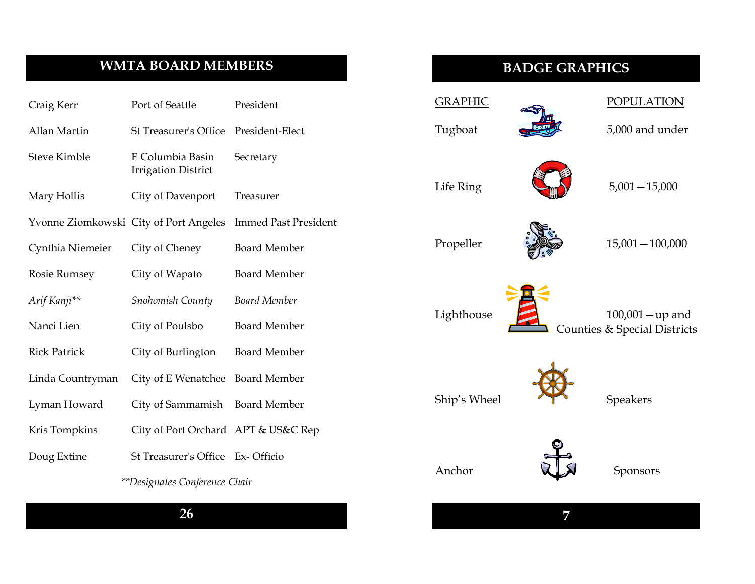# WMTA BOARD MEMBERS

| Craig Kerr          | Port of Seattle                                | President                   |
|---------------------|------------------------------------------------|-----------------------------|
| Allan Martin        | St Treasurer's Office President-Elect          |                             |
| <b>Steve Kimble</b> | E Columbia Basin<br><b>Irrigation District</b> | Secretary                   |
| Mary Hollis         | City of Davenport                              | Treasurer                   |
|                     | Yvonne Ziomkowski City of Port Angeles         | <b>Immed Past President</b> |
| Cynthia Niemeier    | City of Cheney                                 | <b>Board Member</b>         |
| <b>Rosie Rumsey</b> | City of Wapato                                 | <b>Board Member</b>         |
| Arif Kanji**        | Snohomish County                               | <b>Board Member</b>         |
| Nanci Lien          | City of Poulsbo                                | <b>Board Member</b>         |
| <b>Rick Patrick</b> | City of Burlington                             | <b>Board Member</b>         |
| Linda Countryman    | City of E Wenatchee Board Member               |                             |
| Lyman Howard        | City of Sammamish                              | <b>Board Member</b>         |
| Kris Tompkins       | City of Port Orchard APT & US&C Rep            |                             |
| Doug Extine         | St Treasurer's Office Ex-Officio               |                             |

### \*\*Designates Conference Chair

# BADGE GRAPHICS

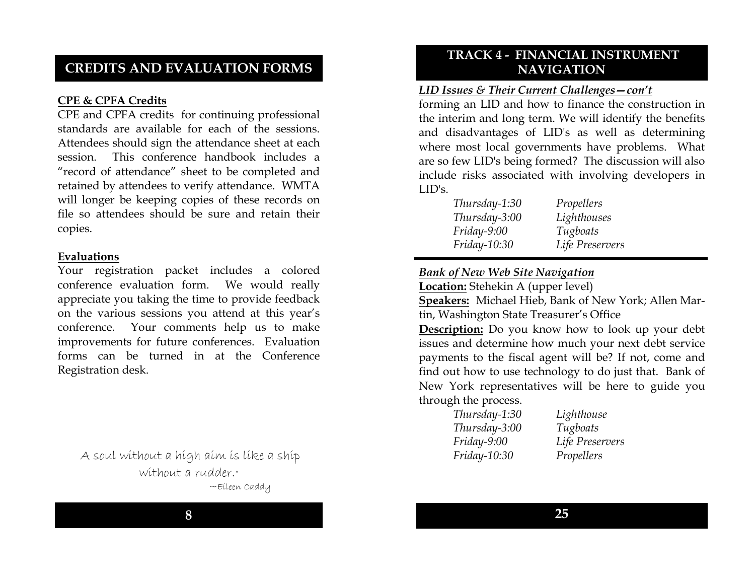### CREDITS AND EVALUATION FORMS

### CPE & CPFA Credits

 CPE and CPFA credits for continuing professional standards are available for each of the sessions. Attendees should sign the attendance sheet at each session. This conference handbook includes a "record of attendance" sheet to be completed and retained by attendees to verify attendance. WMTA will longer be keeping copies of these records on file so attendees should be sure and retain their copies.

#### Evaluations

 Your registration packet includes a colored conference evaluation form. We would really appreciate you taking the time to provide feedback on the various sessions you attend at this year's conference. Your comments help us to make improvements for future conferences. Evaluation forms can be turned in at the Conference Registration desk.

A soul without a high aim is like a ship without a rudder." ~Eileen Caddy

### TRACK 4 - FINANCIAL INSTRUMENT NAVIGATION

#### LID Issues & Their Current Challenges—con't

 forming an LID and how to finance the construction in the interim and long term. We will identify the benefits and disadvantages of LID's as well as determining where most local governments have problems. What are so few LID's being formed? The discussion will also include risks associated with involving developers in LID's.

| Thursday-1:30       | Propellers      |
|---------------------|-----------------|
| Thursday-3:00       | Lighthouses     |
| Friday-9:00         | Tugboats        |
| <i>Friday-10:30</i> | Life Preservers |

### Bank of New Web Site Navigation

Location: Stehekin A (upper level)

Speakers: Michael Hieb, Bank of New York; Allen Martin, Washington State Treasurer's Office

**Description:** Do you know how to look up your debt issues and determine how much your next debt service payments to the fiscal agent will be? If not, come and find out how to use technology to do just that. Bank of New York representatives will be here to guide you through the process.

| Thursday-1:30 | Lighthouse      |
|---------------|-----------------|
| Thursday-3:00 | Tugboats        |
| $Friday-9:00$ | Life Preservers |
| Friday-10:30  | Propellers      |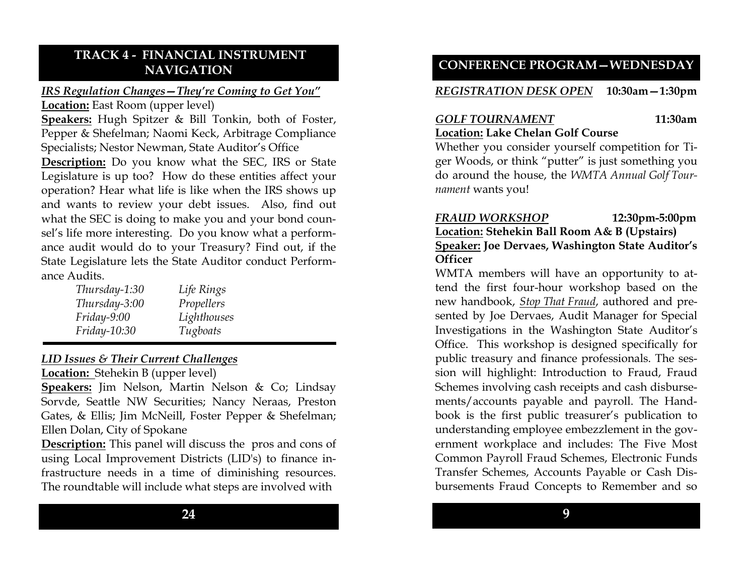### TRACK 4 - FINANCIAL INSTRUMENT NAVIGATION

# IRS Regulation Changes—They're Coming to Get You"

Location: East Room (upper level)

Speakers: Hugh Spitzer & Bill Tonkin, both of Foster, Pepper & Shefelman; Naomi Keck, Arbitrage Compliance Specialists; Nestor Newman, State Auditor's Office

Description: Do you know what the SEC, IRS or State Legislature is up too? How do these entities affect your operation? Hear what life is like when the IRS shows up and wants to review your debt issues. Also, find out what the SEC is doing to make you and your bond counsel's life more interesting. Do you know what a performance audit would do to your Treasury? Find out, if the State Legislature lets the State Auditor conduct Performance Audits.

| Thursday-1:30 | Life Rings  |
|---------------|-------------|
| Thursday-3:00 | Propellers  |
| $Friday-9:00$ | Lighthouses |
| Friday-10:30  | Tugboats    |

### LID Issues & Their Current Challenges

Location: Stehekin B (upper level)

Speakers: Jim Nelson, Martin Nelson & Co; Lindsay Sorvde, Seattle NW Securities; Nancy Neraas, Preston Gates, & Ellis; Jim McNeill, Foster Pepper & Shefelman; Ellen Dolan, City of Spokane

Description: This panel will discuss the pros and cons of using Local Improvement Districts (LID's) to finance infrastructure needs in a time of diminishing resources. The roundtable will include what steps are involved with

### CONFERENCE PROGRAM—WEDNESDAY

#### REGISTRATION DESK OPEN 10:30am—1:30pm

### GOLF TOURNAMENT 11:30am Location: Lake Chelan Golf Course

Whether you consider yourself competition for Tiger Woods, or think "putter" is just something you do around the house, the WMTA Annual Golf Tournament wants you!

### FRAUD WORKSHOP 12:30pm-5:00pm Location: Stehekin Ball Room A& B (Upstairs) Speaker: Joe Dervaes, Washington State Auditor's **Officer**

WMTA members will have an opportunity to attend the first four-hour workshop based on the new handbook, Stop That Fraud, authored and presented by Joe Dervaes, Audit Manager for Special Investigations in the Washington State Auditor's Office. This workshop is designed specifically for public treasury and finance professionals. The session will highlight: Introduction to Fraud, Fraud Schemes involving cash receipts and cash disbursements/accounts payable and payroll. The Handbook is the first public treasurer's publication to understanding employee embezzlement in the government workplace and includes: The Five Most Common Payroll Fraud Schemes, Electronic Funds Transfer Schemes, Accounts Payable or Cash Disbursements Fraud Concepts to Remember and so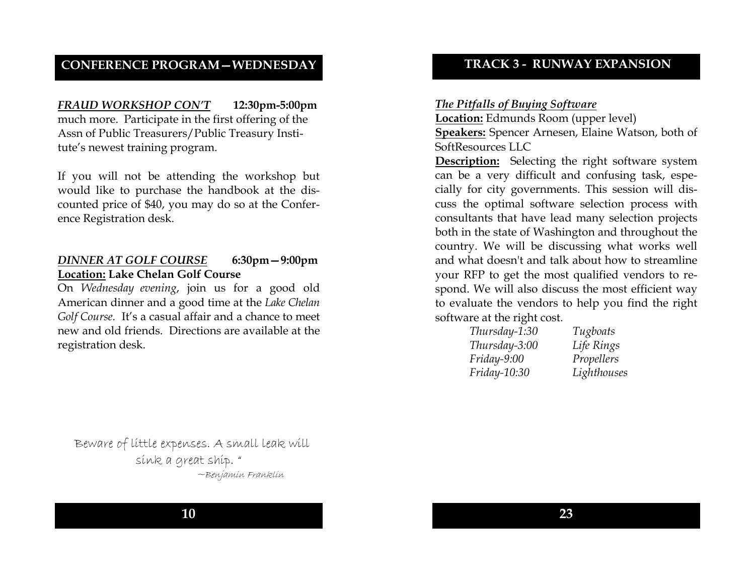### CONFERENCE PROGRAM—WEDNESDAY

FRAUD WORKSHOP CON'T 12:30pm-5:00pm much more. Participate in the first offering of the Assn of Public Treasurers/Public Treasury Institute's newest training program.

If you will not be attending the workshop but would like to purchase the handbook at the discounted price of \$40, you may do so at the Conference Registration desk.

### DINNER AT GOLF COURSE 6:30pm—9:00pm Location: Lake Chelan Golf Course

 On Wednesday evening, join us for a good old American dinner and a good time at the Lake Chelan Golf Course. It's a casual affair and a chance to meet new and old friends. Directions are available at the registration desk.

### TRACK 3 - RUNWAY EXPANSION

#### The Pitfalls of Buying Software

Location: Edmunds Room (upper level) Speakers: Spencer Arnesen, Elaine Watson, both of SoftResources LLC

Description: Selecting the right software system can be a very difficult and confusing task, especially for city governments. This session will discuss the optimal software selection process with consultants that have lead many selection projects both in the state of Washington and throughout the country. We will be discussing what works well and what doesn't and talk about how to streamline your RFP to get the most qualified vendors to respond. We will also discuss the most efficient way to evaluate the vendors to help you find the right software at the right cost.

| Tugboats    |
|-------------|
| Life Rings  |
| Propellers  |
| Lighthouses |
|             |

Beware of little expenses. A small leak will sink a great ship. " ~Benjamin Franklin

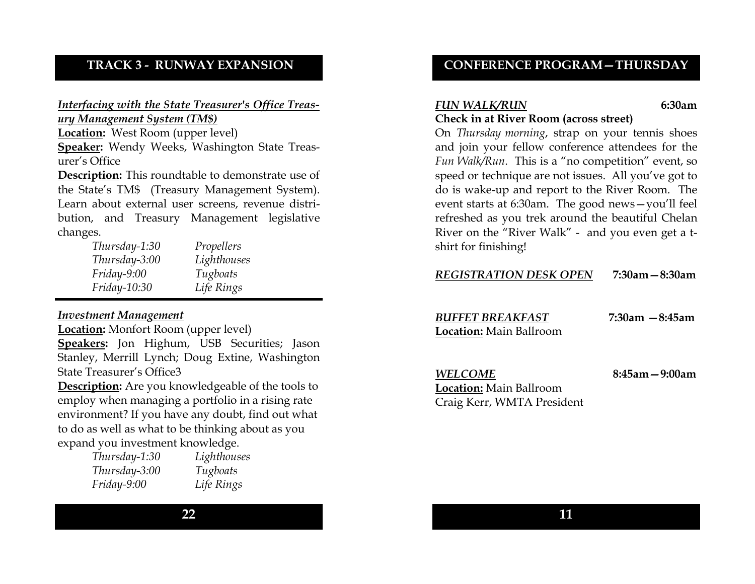### TRACK 3 - RUNWAY EXPANSION

#### Interfacing with the State Treasurer's Office Treasury Management System (TM\$)

Location: West Room (upper level)

Speaker: Wendy Weeks, Washington State Treasurer's Office

Description: This roundtable to demonstrate use of the State's TM\$ (Treasury Management System). Learn about external user screens, revenue distribution, and Treasury Management legislative changes.

| Propellers  |
|-------------|
| Lighthouses |
| Tugboats    |
| Life Rings  |
|             |

### Investment Management

Location: Monfort Room (upper level) Speakers: Jon Highum, USB Securities; Jason Stanley, Merrill Lynch; Doug Extine, Washington State Treasurer's Office3

Description: Are you knowledgeable of the tools to employ when managing a portfolio in a rising rate environment? If you have any doubt, find out what to do as well as what to be thinking about as you expand you investment knowledge.

| Thursday-1:30 | Lighthouses |
|---------------|-------------|
| Thursday-3:00 | Tugboats    |
| Friday-9:00   | Life Rings  |

### CONFERENCE PROGRAM—THURSDAY

#### FUN WALK/RUN 6:30am Check in at River Room (across street)

On Thursday morning, strap on your tennis shoes and join your fellow conference attendees for the Fun Walk/Run. This is a "no competition" event, so speed or technique are not issues. All you've got to do is wake-up and report to the River Room. The event starts at 6:30am. The good news—you'll feel refreshed as you trek around the beautiful Chelan River on the "River Walk" - and you even get a tshirt for finishing!

| <b>REGISTRATION DESK OPEN</b> | $7:30$ am $-8:30$ am |
|-------------------------------|----------------------|
|                               |                      |

BUFFET BREAKFAST

7:30am —8:45am

Location: Main Ballroom

8:45am—9:00am

Location: Main BallroomCraig Kerr, WMTA President

WELCOME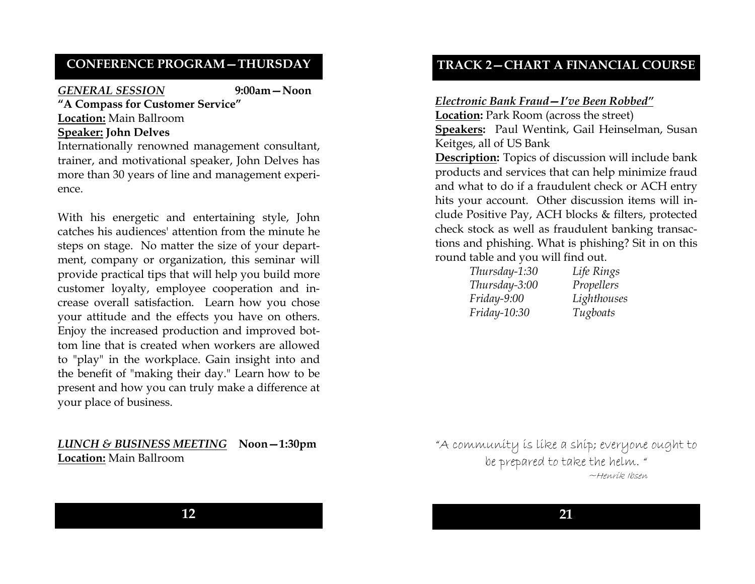### CONFERENCE PROGRAM—THURSDAY

#### GENERAL SESSION 9:00am—Noon

### "A Compass for Customer Service" Location: Main Ballroom Speaker: John Delves

Internationally renowned management consultant, trainer, and motivational speaker, John Delves has more than 30 years of line and management experience.

With his energetic and entertaining style, John catches his audiences' attention from the minute he steps on stage. No matter the size of your department, company or organization, this seminar will provide practical tips that will help you build more customer loyalty, employee cooperation and increase overall satisfaction. Learn how you chose your attitude and the effects you have on others. Enjoy the increased production and improved bottom line that is created when workers are allowed to "play" in the workplace. Gain insight into and the benefit of "making their day." Learn how to be present and how you can truly make a difference at your place of business.

### LUNCH & BUSINESS MEETING Noon–1:30pm<br>Leasticae Main Ballycen Location: Main Ballroom

### TRACK 2—CHART A FINANCIAL COURSE

#### Electronic Bank Fraud—I've Been Robbed"

Location: Park Room (across the street) Speakers: Paul Wentink, Gail Heinselman, Susan Keitges, all of US Bank Description: Topics of discussion will include bank products and services that can help minimize fraud and what to do if a fraudulent check or ACH entry hits your account. Other discussion items will include Positive Pay, ACH blocks & filters, protected check stock as well as fraudulent banking transactions and phishing. What is phishing? Sit in on this round table and you will find out.

| Thursday-1:30 | Life Rings  |
|---------------|-------------|
| Thursday-3:00 | Propellers  |
| Friday-9:00   | Lighthouses |
| Friday-10:30  | Tugboats    |

"A community is like a ship; everyone ought to be prepared to take the helm. "

~Henrik Ibsen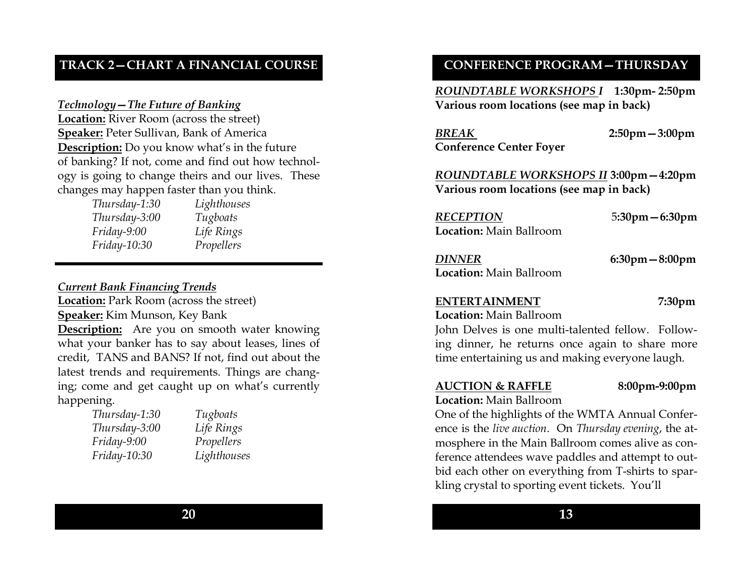# TRACK 2—CHART A FINANCIAL COURSE

### Technology—The Future of Banking

**Location:** River Room (across the street) Speaker: Peter Sullivan, Bank of America Description: Do you know what's in the future of banking? If not, come and find out how technology is going to change theirs and our lives. Thesechanges may happen faster than you think.

| Thursday-1:30       | Lighthouses |
|---------------------|-------------|
| Thursday-3:00       | Tugboats    |
| Friday-9:00         | Life Rings  |
| <i>Friday-10:30</i> | Propellers  |

#### Current Bank Financing Trends

Location: Park Room (across the street) Speaker: Kim Munson, Key Bank **Description:** Are you on smooth water knowing what your banker has to say about leases, lines of credit, TANS and BANS? If not, find out about the latest trends and requirements. Things are changing; come and get caught up on what's currently happening.

| Thursday-1:30 | Tugboats   |
|---------------|------------|
| Thursday-3:00 | Life Rings |
| Friday-9:00   | Propellers |
| Friday-10:30  | Lighthous  |

Rings ellers houses

### CONFERENCE PROGRAM—THURSDAY

ROUNDTABLE WORKSHOPS I 1:30pm- 2:50pm Various room locations (see map in back)

BREAKConference Center Foyer 2:50pm—3:00pm

ROUNDTABLE WORKSHOPS II 3:00pm—4:20pm Various room locations (see map in back)

RECEPTION 5:30pm—6:30pm Location: Main Ballroom

DINNER 6:30pm—8:00pm Location: Main Ballroom

#### ENTERTAINMENT 7:30pm

Location: Main Ballroom

John Delves is one multi-talented fellow. Following dinner, he returns once again to share more time entertaining us and making everyone laugh.

#### AUCTION & RAFFLE 8:00pm-9:00pm

#### Location: Main Ballroom

One of the highlights of the WMTA Annual Conference is the live auction. On Thursday evening, the atmosphere in the Main Ballroom comes alive as conference attendees wave paddles and attempt to outbid each other on everything from T-shirts to sparkling crystal to sporting event tickets. You'll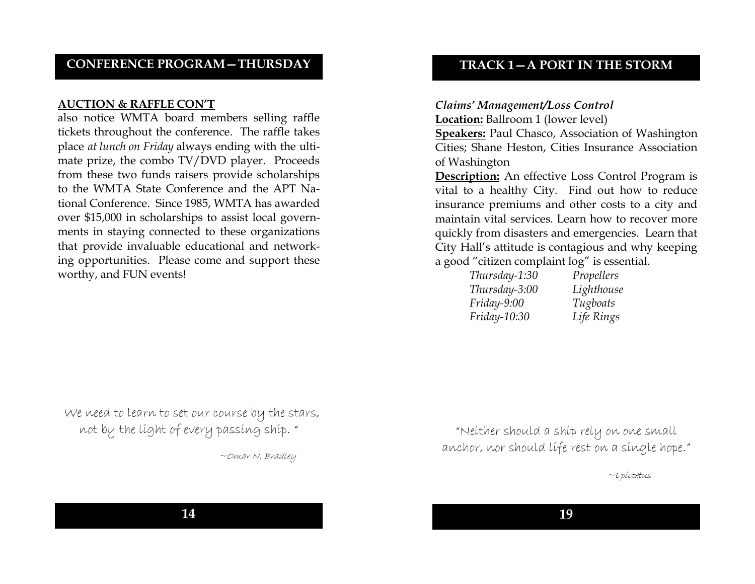### CONFERENCE PROGRAM—THURSDAY

#### AUCTION & RAFFLE CON'T

 also notice WMTA board members selling raffle tickets throughout the conference. The raffle takes place at lunch on Friday always ending with the ultimate prize, the combo TV/DVD player. Proceeds from these two funds raisers provide scholarships to the WMTA State Conference and the APT National Conference. Since 1985, WMTA has awarded over \$15,000 in scholarships to assist local governments in staying connected to these organizations that provide invaluable educational and networking opportunities. Please come and support these worthy, and FUN events!

### TRACK 1—A PORT IN THE STORM

#### Claims' Management/Loss Control

Location: Ballroom 1 (lower level) Speakers: Paul Chasco, Association of Washington Cities; Shane Heston, Cities Insurance Association of Washington

**Description:** An effective Loss Control Program is vital to a healthy City. Find out how to reduce insurance premiums and other costs to a city and maintain vital services. Learn how to recover more quickly from disasters and emergencies. Learn that City Hall's attitude is contagious and why keeping a good "citizen complaint log" is essential.

| Thursday-1:30       | Propellers |
|---------------------|------------|
| Thursday-3:00       | Lighthouse |
| Friday-9:00         | Tugboats   |
| <i>Friday-10:30</i> | Life Rings |

We need to learn to set our course by the stars, not by the light of every passing ship. "

~Omar N. Bradley

"Neither should a ship rely on one small anchor, nor should life rest on a single hope."

~Epictetus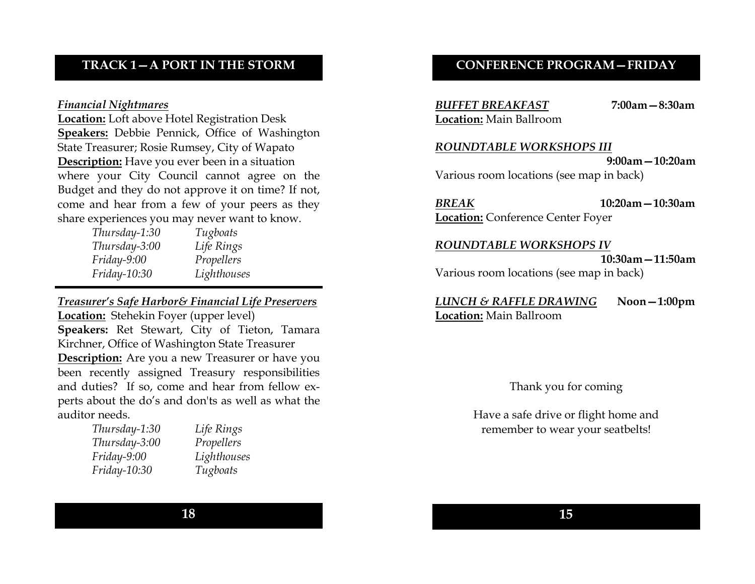### TRACK 1—A PORT IN THE STORM

#### Financial Nightmares

 Location: Loft above Hotel Registration Desk**Speakers:** Debbie Pennick, Office of Washington State Treasurer; Rosie Rumsey, City of Wapato Description: Have you ever been in a situation where your City Council cannot agree on the Budget and they do not approve it on time? If not, come and hear from a few of your peers as they share experiences you may never want to know.

| Tugboats    |
|-------------|
| Life Rings  |
| Propellers  |
| Lighthouses |
|             |

Treasurer's Safe Harbor& Financial Life PreserversLocation: Stehekin Foyer (upper level) Speakers: Ret Stewart, City of Tieton, Tamara Kirchner, Office of Washington State Treasurer Description: Are you a new Treasurer or have you been recently assigned Treasury responsibilities and duties? If so, come and hear from fellow experts about the do's and don'ts as well as what theauditor needs.

| Life Rings  |
|-------------|
| Propellers  |
| Lighthouses |
| Tugboats    |
|             |

### CONFERENCE PROGRAM—FRIDAY

BUFFET BREAKFAST 7:00am—8:30am Location: Main Ballroom

#### ROUNDTABLE WORKSHOPS III

 9:00am—10:20am Various room locations (see map in back)

BREAK 10:20am—10:30amLocation: Conference Center Foyer

#### ROUNDTABLE WORKSHOPS IV

 10:30am—11:50am Various room locations (see map in back)

LUNCH & RAFFLE DRAWING Noon—1:00pmLocation: Main Ballroom

Thank you for coming

Have a safe drive or flight home and remember to wear your seatbelts!